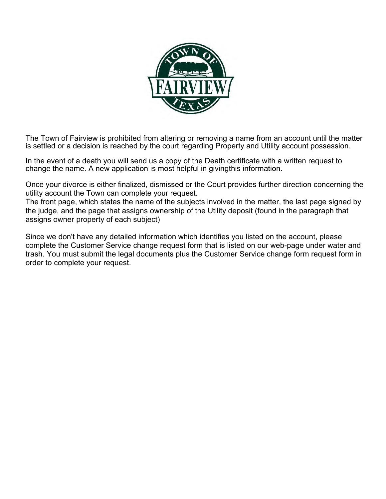

The Town of Fairview is prohibited from altering or removing a name from an account until the matter is settled or a decision is reached by the court regarding Property and Utility account possession.

In the event of a death you will send us a copy of the Death certificate with a written request to change the name. A new application is most helpful in givingthis information.

Once your divorce is either finalized, dismissed or the Court provides further direction concerning the utility account the Town can complete your request.

The front page, which states the name of the subjects involved in the matter, the last page signed by the judge, and the page that assigns ownership of the Utility deposit (found in the paragraph that assigns owner property of each subject)

Since we don't have any detailed information which identifies you listed on the account, please complete the Customer Service change request form that is listed on our web-page under water and trash. You must submit the legal documents plus the Customer Service change form request form in order to complete your request.